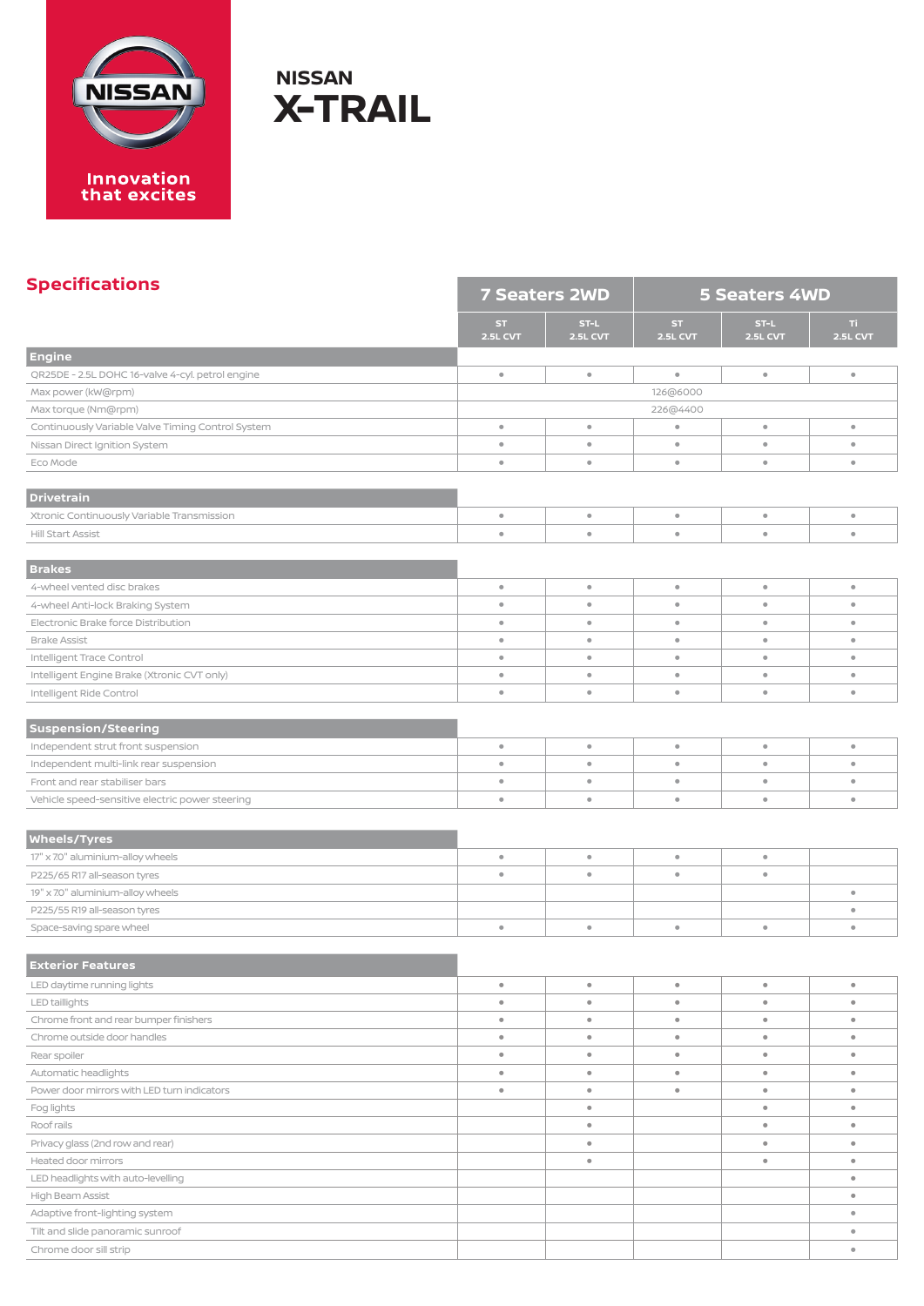

| <b>Specifications</b>                             | <b>7 Seaters 2WD</b>  |                  | <b>5 Seaters 4WD</b> |                         |                 |  |
|---------------------------------------------------|-----------------------|------------------|----------------------|-------------------------|-----------------|--|
|                                                   | <b>ST</b><br>2.5L CVT | ST-L<br>2.5L CVT | ST.<br>2.5L CVT      | ST-L<br><b>2.5L CVT</b> | Ti.<br>2.5L CVT |  |
| <b>Engine</b>                                     |                       |                  |                      |                         |                 |  |
| QR25DE - 2.5L DOHC 16-valve 4-cyl. petrol engine  | $\bullet$             | $\bullet$        | $\bullet$            | $\circ$                 | $\bullet$       |  |
| Max power (kW@rpm)                                |                       |                  | 126@6000             |                         |                 |  |
| Max torque (Nm@rpm)                               |                       |                  | 226@4400             |                         |                 |  |
| Continuously Variable Valve Timing Control System | $\bullet$             | $\bullet$        | $\bullet$            | $\circ$                 | $\bullet$       |  |
| Nissan Direct Ignition System                     | $\bullet$             | $\bullet$        | $\bullet$            | $\bullet$               | $\bullet$       |  |
| Eco Mode                                          | $\bullet$             | $\bullet$        | $\bullet$            | $\bullet$               | $\bullet$       |  |
| <b>Drivetrain</b>                                 |                       |                  |                      |                         |                 |  |
| Xtronic Continuously Variable Transmission        | $\bullet$             | $\bullet$        | $\bullet$            | $\bullet$               | $\bullet$       |  |
| Hill Start Assist                                 | $\bullet$             | $\bullet$        | $\bullet$            | $\bullet$               | $\bullet$       |  |
| <b>Brakes</b>                                     |                       |                  |                      |                         |                 |  |
| 4-wheel vented disc brakes                        | $\bullet$             | $\bullet$        | $\circ$              | $\circ$                 | $\bullet$       |  |
| 4-wheel Anti-lock Braking System                  | $\bullet$             | $\bullet$        | $\bullet$            | $\bullet$               | $\bullet$       |  |
| Electronic Brake force Distribution               | $\bullet$             | $\bullet$        | $\bullet$            | $\circ$                 | $\bullet$       |  |
| <b>Brake Assist</b>                               | $\bullet$             | $\bullet$        | $\bullet$            | $\bullet$               | $\bullet$       |  |
| Intelligent Trace Control                         | $\bullet$             | $\bullet$        | $\bullet$            | $\circ$                 | $\bullet$       |  |
| Intelligent Engine Brake (Xtronic CVT only)       | $\bullet$             | $\bullet$        | $\bullet$            | $\bullet$               | $\bullet$       |  |
| Intelligent Ride Control                          | $\bullet$             | $\bullet$        | $\bullet$            | $\circ$                 | $\bullet$       |  |
|                                                   |                       |                  |                      |                         |                 |  |
| <b>Suspension/Steering</b>                        |                       |                  |                      |                         |                 |  |
| Independent strut front suspension                | $\bullet$             | $\bullet$        | $\bullet$            | $\bullet$               | $\bullet$       |  |
| Independent multi-link rear suspension            | $\bullet$             | $\bullet$        | $\bullet$            | $\bullet$               | $\bullet$       |  |
| Front and rear stabiliser bars                    | $\bullet$             | $\bullet$        | $\bullet$            | $\circ$                 | $\bullet$       |  |
| Vehicle speed-sensitive electric power steering   | $\bullet$             | $\bullet$        | $\bullet$            | $\circ$                 | $\bullet$       |  |
|                                                   |                       |                  |                      |                         |                 |  |
| <b>Wheels/Tyres</b>                               |                       |                  |                      |                         |                 |  |
| 17" x 7.0" aluminium-alloy wheels                 | $\bullet$             | $\bullet$        | $\bullet$            | $\bullet$               |                 |  |
| P225/65 R17 all-season tyres                      | $\bullet$             | $\bullet$        | $\circ$              | $\bullet$               |                 |  |
| 19" x 7.0" aluminium-alloy wheels                 |                       |                  |                      |                         | $\bullet$       |  |
| P225/55 R19 all-season tyres                      |                       |                  |                      |                         | ۰               |  |
| Space-saving spare wheel                          | $\bullet$             | $\bullet$        | $\circ$              | $\circ$                 | $\bullet$       |  |
| <b>Exterior Features</b>                          |                       |                  |                      |                         |                 |  |
| LED daytime running lights                        | $\bullet$             | $\bullet$        | $\bullet$            | $\bullet$               | $\bullet$       |  |
| LED taillights                                    | $\bullet$             | $\bullet$        | $\bullet$            | $\bullet$               | $\bullet$       |  |
| Chrome front and rear bumper finishers            | $\bullet$             | $\bullet$        | $\bullet$            | $\bullet$               | $\bullet$       |  |
| Chrome outside door handles                       | $\bullet$             | $\bullet$        | $\bullet$            | $\bullet$               | $\bullet$       |  |
| Rear spoiler                                      | $\bullet$             | $\bullet$        | $\circ$              | $\bullet$               | $\bullet$       |  |
| Automatic headlights                              | $\bullet$             | $\bullet$        | $\bullet$            | $\bullet$               | $\bullet$       |  |
| Power door mirrors with LED turn indicators       | $\bullet$             | $\bullet$        | $\bullet$            | $\bullet$               | $\bullet$       |  |
| Fog lights                                        |                       | $\bullet$        |                      | $\bullet$               | $\bullet$       |  |
| Roof rails                                        |                       | $\bullet$        |                      | $\bullet$               | $\bullet$       |  |
| Privacy glass (2nd row and rear)                  |                       | $\bullet$        |                      | $\bullet$               | $\bullet$       |  |
| Heated door mirrors                               |                       | $\bullet$        |                      | $\bullet$               | $\bullet$       |  |
| LED headlights with auto-levelling                |                       |                  |                      |                         | $\bullet$       |  |
| High Beam Assist                                  |                       |                  |                      |                         | $\bullet$       |  |
| Adaptive front-lighting system                    |                       |                  |                      |                         | $\bullet$       |  |
| Tilt and slide panoramic sunroof                  |                       |                  |                      |                         | ۰               |  |
| Chrome door sill strip                            |                       |                  |                      |                         | $\bullet$       |  |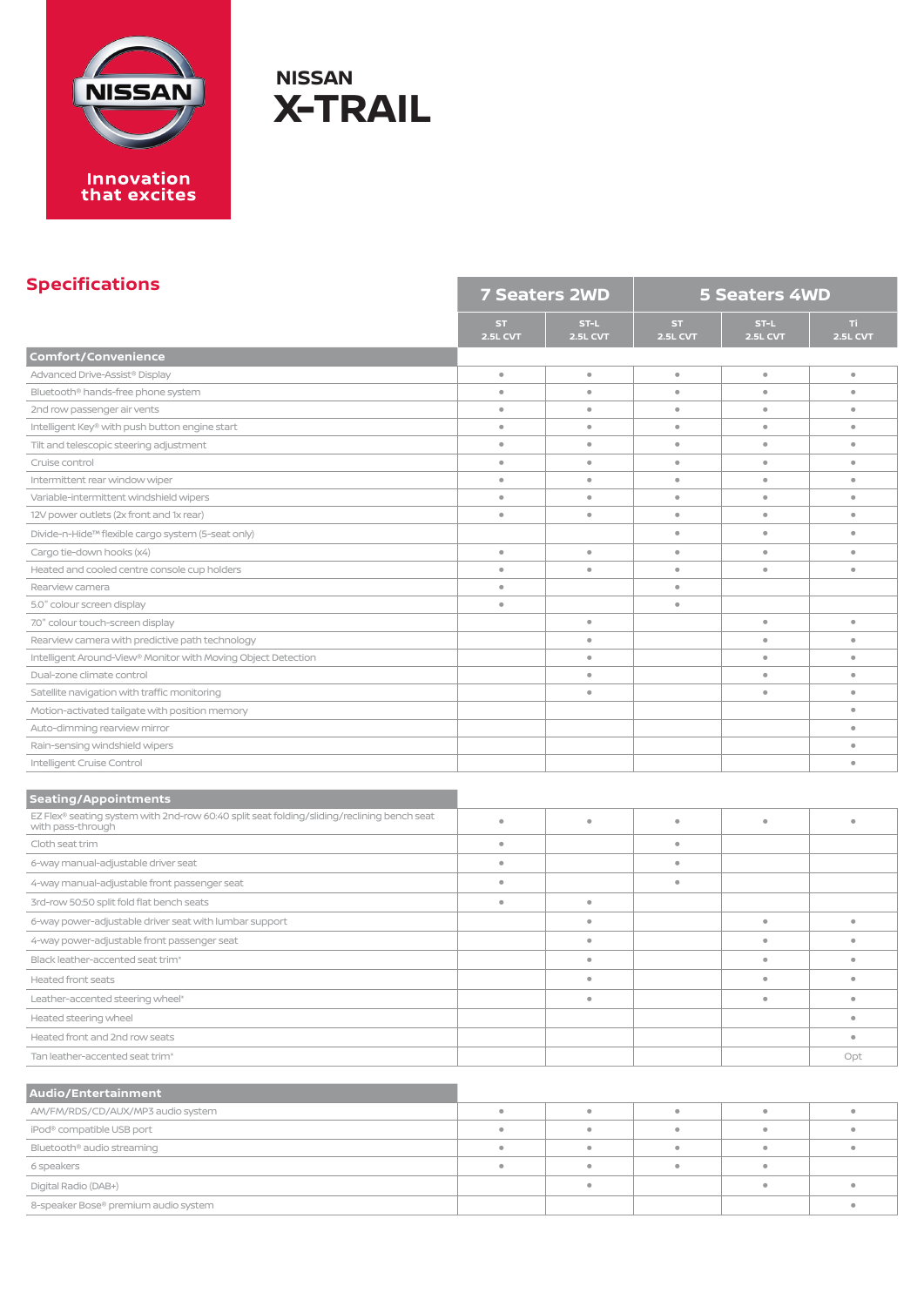

#### **Specifications**

| <b>Specifications</b>                                                                                           | <b>7 Seaters 2WD</b> |                              | <b>5 Seaters 4WD</b>   |                         |                         |  |
|-----------------------------------------------------------------------------------------------------------------|----------------------|------------------------------|------------------------|-------------------------|-------------------------|--|
|                                                                                                                 | ST.<br>2.5L CVT      | $ST-L$<br><b>2.5L CVT</b>    | ST.<br><b>2.5L CVT</b> | ST-L<br><b>2.5L CVT</b> | TI.<br>2.5L CVT         |  |
| <b>Comfort/Convenience</b>                                                                                      |                      |                              |                        |                         |                         |  |
| Advanced Drive-Assist® Display                                                                                  | $\circ$              | ۰                            | $\bullet$              | $\bullet$               | $\bullet$               |  |
| Bluetooth® hands-free phone system                                                                              | $\circ$              | $\qquad \qquad \blacksquare$ | $\bullet$              | $\bullet$               | $\bullet$               |  |
| 2nd row passenger air vents                                                                                     | $\circ$              | $\bullet$                    | $\bullet$              | $\bullet$               | $\bullet$               |  |
| Intelligent Key® with push button engine start                                                                  | $\circ$              | $\qquad \qquad \bullet$      | ۰                      | $\circ$                 | $\qquad \qquad \bullet$ |  |
| Tilt and telescopic steering adjustment                                                                         | $\circ$              | $\bullet$                    | $\bullet$              | $\circ$                 | $\circ$                 |  |
| Cruise control                                                                                                  | $\bullet$            | $\bullet$                    | $\bullet$              | $\bullet$               | $\bullet$               |  |
| Intermittent rear window wiper                                                                                  | $\circ$              | $\bullet$                    | $\bullet$              | $\circ$                 | $\bullet$               |  |
| Variable-intermittent windshield wipers                                                                         | $\bullet$            | $\bullet$                    | $\bullet$              | $\bullet$               | $\bullet$               |  |
| 12V power outlets (2x front and 1x rear)                                                                        | $\circ$              | $\qquad \qquad \bullet$      | ۰                      | $\bullet$               | $\qquad \qquad \bullet$ |  |
| Divide-n-Hide™ flexible cargo system (5-seat only)                                                              |                      |                              | $\bullet$              | $\bullet$               | $\circ$                 |  |
| Cargo tie-down hooks (x4)                                                                                       | $\circ$              | $\bullet$                    | $\bullet$              | $\bullet$               | $\bullet$               |  |
| Heated and cooled centre console cup holders                                                                    | $\bullet$            | $\bullet$                    | $\bullet$              | $\bullet$               | $\bullet$               |  |
| Rearview camera                                                                                                 | $\circ$              |                              | $\bullet$              |                         |                         |  |
| 5.0" colour screen display                                                                                      | $\circ$              |                              | $\bullet$              |                         |                         |  |
| 7.0" colour touch-screen display                                                                                |                      | $\bullet$                    |                        | $\circ$                 | $\bullet$               |  |
| Rearview camera with predictive path technology                                                                 |                      | $\bullet$                    |                        | $\bullet$               | $\bullet$               |  |
| Intelligent Around-View® Monitor with Moving Object Detection                                                   |                      | $\bullet$                    |                        | $\bullet$               | $\bullet$               |  |
| Dual-zone climate control                                                                                       |                      | $\bullet$                    |                        | $\circ$                 | $\circ$                 |  |
| Satellite navigation with traffic monitoring                                                                    |                      | $\bullet$                    |                        | $\circ$                 | $\circ$                 |  |
| Motion-activated tailgate with position memory                                                                  |                      |                              |                        |                         | $\bullet$               |  |
| Auto-dimming rearview mirror                                                                                    |                      |                              |                        |                         | $\bullet$               |  |
| Rain-sensing windshield wipers                                                                                  |                      |                              |                        |                         | $\bullet$               |  |
| Intelligent Cruise Control                                                                                      |                      |                              |                        |                         | $\bullet$               |  |
| <b>Seating/Appointments</b>                                                                                     |                      |                              |                        |                         |                         |  |
| EZ Flex® seating system with 2nd-row 60:40 split seat folding/sliding/reclining bench seat<br>with pass-through | $\circ$              | $\bullet$                    | $\bullet$              | $\bullet$               | $\circ$                 |  |
| Cloth seat trim                                                                                                 | $\bullet$            |                              | $\bullet$              |                         |                         |  |
| 6-way manual-adjustable driver seat                                                                             | $\circ$              |                              | $\bullet$              |                         |                         |  |
| 4-way manual-adjustable front passenger seat                                                                    | $\circ$              |                              | $\bullet$              |                         |                         |  |
|                                                                                                                 | $\circ$              | $\bullet$                    |                        |                         |                         |  |
| 3rd-row 50:50 split fold flat bench seats                                                                       |                      |                              |                        |                         |                         |  |
| 6-way power-adjustable driver seat with lumbar support                                                          |                      | $\bullet$                    |                        | $\bullet$               | $\bullet$               |  |
| 4-way power-adjustable front passenger seat                                                                     |                      | $\bullet$                    |                        | $\bullet$               | $\circ$                 |  |
| Black leather-accented seat trim <sup>®</sup>                                                                   |                      | $\bullet$                    |                        | $\bullet$               | $\bullet$               |  |
| Heated front seats                                                                                              |                      |                              |                        |                         |                         |  |
| Leather-accented steering wheel*                                                                                |                      | $\bullet$                    |                        | $\bullet$               | $\bullet$               |  |
| Heated steering wheel                                                                                           |                      |                              |                        |                         | $\bullet$               |  |
| Heated front and 2nd row seats                                                                                  |                      |                              |                        |                         | $\qquad \qquad \bullet$ |  |
| Tan leather-accented seat trim*                                                                                 |                      |                              |                        |                         | Opt                     |  |
|                                                                                                                 |                      |                              |                        |                         |                         |  |
| <b>Audio/Entertainment</b>                                                                                      |                      |                              |                        |                         |                         |  |
| AM/FM/RDS/CD/AUX/MP3 audio system                                                                               | $\bullet$            | $\bullet$                    | $\bullet$              | $\bullet$               | $\bullet$               |  |
| iPod <sup>®</sup> compatible USB port                                                                           | $\bullet$            | $\qquad \qquad \bullet$      | $\bullet$              | $\bullet$               | $\bullet$               |  |
| Bluetooth® audio streaming                                                                                      | $\circ$              | $\bullet$                    | $\bullet$              | $\qquad \qquad \bullet$ | $\qquad \qquad \bullet$ |  |
| 6 speakers                                                                                                      | $\bullet$            | $\bullet$                    | $\bullet$              | $\circ$                 |                         |  |

6 speakers **• • • •**

Digital Radio (DAB+) **• • •** 8-speaker Bose® premium audio system **•**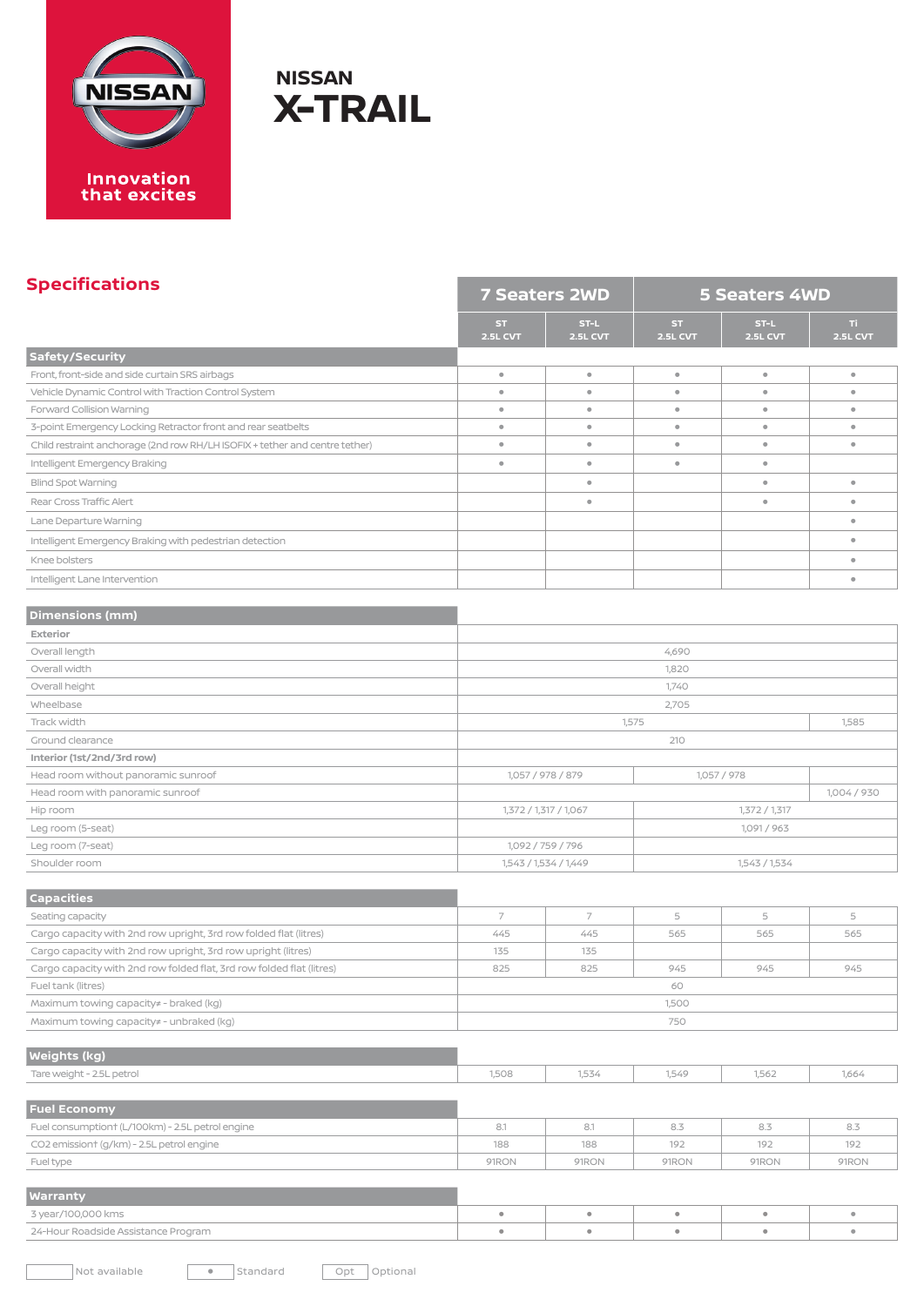

#### **Specifications**

| <u>spechneuchsis</u><br><b>7 Seaters 2WD</b>                                |                              |                                        | <b>5 Seaters 4WD</b>   |                  |                        |
|-----------------------------------------------------------------------------|------------------------------|----------------------------------------|------------------------|------------------|------------------------|
|                                                                             | <b>ST</b><br><b>2.5L CVT</b> | $ST-L$<br><b>2.5L CVT</b>              | ST.<br><b>2.5L CVT</b> | ST-L<br>2.5L CVT | TI.<br><b>2.5L CVT</b> |
| Safety/Security                                                             |                              |                                        |                        |                  |                        |
| Front, front-side and side curtain SRS airbags                              | $\bullet$                    | $\bullet$                              | $\circ$                | $\circ$          | $\bullet$              |
| Vehicle Dynamic Control with Traction Control System                        | $\bullet$                    | $\bullet$                              | $\circ$                | $\circ$          | $\bullet$              |
| Forward Collision Warning                                                   | $\bullet$                    | $\bullet$                              | $\bullet$              | $\bullet$        | $\bullet$              |
| 3-point Emergency Locking Retractor front and rear seatbelts                | $\bullet$                    | $\bullet$                              | $\bullet$              | $\bullet$        | $\bullet$              |
| Child restraint anchorage (2nd row RH/LH ISOFIX + tether and centre tether) | $\bullet$                    | $\bullet$                              | $\circ$                | $\circ$          | $\bullet$              |
| Intelligent Emergency Braking                                               | $\bullet$                    | $\bullet$                              | $\bullet$              | $\bullet$        |                        |
| Blind Spot Warning                                                          |                              | $\bullet$                              |                        | $\bullet$        | $\bullet$              |
| Rear Cross Traffic Alert                                                    |                              | $\bullet$                              |                        | $\bullet$        | $\bullet$              |
| Lane Departure Warning                                                      |                              |                                        |                        |                  | $\bullet$              |
| Intelligent Emergency Braking with pedestrian detection                     |                              |                                        |                        |                  | $\bullet$              |
| Knee bolsters                                                               |                              |                                        |                        |                  | $\bullet$              |
| Intelligent Lane Intervention                                               |                              |                                        |                        |                  | $\bullet$              |
|                                                                             |                              |                                        |                        |                  |                        |
| <b>Dimensions (mm)</b>                                                      |                              |                                        |                        |                  |                        |
| Exterior                                                                    |                              |                                        |                        |                  |                        |
| Overall length                                                              |                              |                                        | 4,690                  |                  |                        |
| Overall width                                                               |                              |                                        | 1,820                  |                  |                        |
| Overall height                                                              |                              |                                        | 1,740                  |                  |                        |
| Wheelbase                                                                   |                              | 2,705                                  |                        |                  |                        |
| Track width                                                                 |                              | 1,575<br>1,585                         |                        |                  |                        |
| Ground clearance                                                            |                              | 210                                    |                        |                  |                        |
| Interior (1st/2nd/3rd row)                                                  |                              |                                        |                        |                  |                        |
| Head room without panoramic sunroof                                         |                              | 1,057 / 978 / 879                      |                        | 1,057 / 978      |                        |
| Head room with panoramic sunroof                                            |                              |                                        |                        |                  |                        |
| Hip room                                                                    |                              | 1,372 / 1,317 / 1,067                  |                        | 1,372 / 1,317    |                        |
| Leg room (5-seat)                                                           |                              | 1,091 / 963                            |                        |                  |                        |
| Leg room (7-seat)                                                           |                              | 1,092 / 759 / 796                      |                        |                  |                        |
| Shoulder room                                                               |                              | 1,543 / 1,534 / 1,449<br>1,543 / 1,534 |                        |                  |                        |
|                                                                             |                              |                                        |                        |                  |                        |
| <b>Capacities</b>                                                           |                              |                                        |                        |                  |                        |
| Seating capacity                                                            | $\overline{7}$               | 7                                      | 5                      | 5                | 5                      |
| Cargo capacity with 2nd row upright, 3rd row folded flat (litres)           | 445                          | 445                                    | 565                    | 565              | 565                    |
| Cargo capacity with 2nd row upright, 3rd row upright (litres)               | 135<br>825                   | 135<br>825                             | 945                    | 945              | 945                    |
| Cargo capacity with 2nd row folded flat, 3rd row folded flat (litres)       |                              |                                        |                        |                  |                        |
| Fuel tank (litres)<br>Maximum towing capacity# - braked (kg)                |                              | 60<br>1,500                            |                        |                  |                        |
| Maximum towing capacity# - unbraked (kg)                                    |                              | 750                                    |                        |                  |                        |
|                                                                             |                              |                                        |                        |                  |                        |
| <b>Weights (kg)</b>                                                         |                              |                                        |                        |                  |                        |
| Tare weight - 2.5L petrol                                                   | 1,508                        | 1,534                                  | 1,549                  | 1,562            | 1,664                  |
| <b>Fuel Economy</b>                                                         |                              |                                        |                        |                  |                        |
| Fuel consumptiont (L/100km) - 2.5L petrol engine                            | 8.1                          | 8.1                                    | 8.3                    | 8.3              | 8.3                    |
| CO2 emissiont (g/km) - 2.5L petrol engine                                   | 188                          | 188                                    | 192                    | 192              | 192                    |
| Fuel type                                                                   | 91RON                        | 91RON                                  | 91RON                  | 91RON            | 91RON                  |
|                                                                             |                              |                                        |                        |                  |                        |
| <b>Warranty</b>                                                             |                              |                                        |                        |                  |                        |
| 3 year/100,000 kms                                                          | $\bullet$                    | $\bullet$                              | $\bullet$              | $\bullet$        | $\bullet$              |

the control of the control of the control of the control of the control of

24-Hour Roadside Assistance Program **• • • • •**